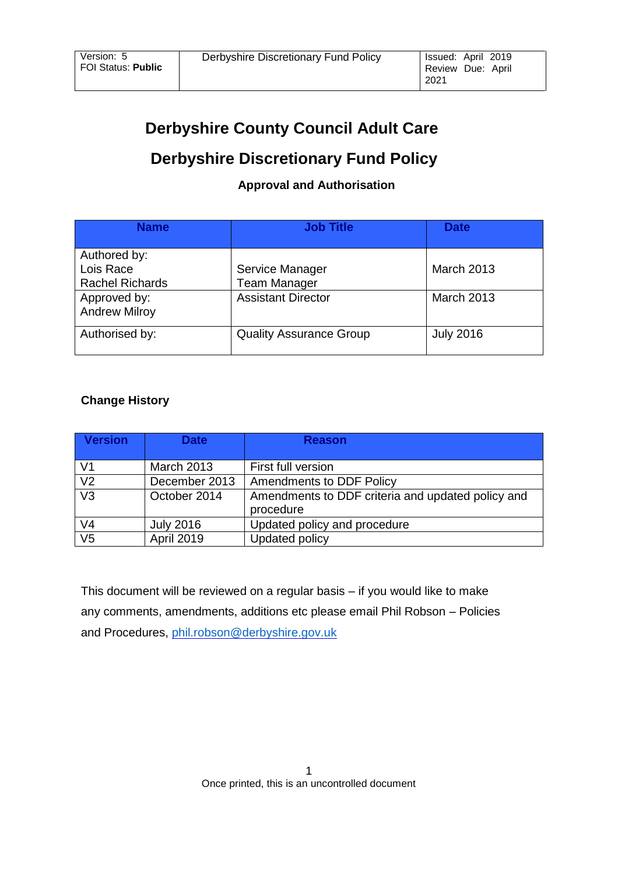# **Derbyshire County Council Adult Care**

# **Derbyshire Discretionary Fund Policy**

# **Approval and Authorisation**

| <b>Name</b>                                         | <b>Job Title</b>                       | <b>Date</b>       |
|-----------------------------------------------------|----------------------------------------|-------------------|
| Authored by:<br>Lois Race<br><b>Rachel Richards</b> | Service Manager<br><b>Team Manager</b> | <b>March 2013</b> |
| Approved by:<br><b>Andrew Milroy</b>                | <b>Assistant Director</b>              | <b>March 2013</b> |
| Authorised by:                                      | <b>Quality Assurance Group</b>         | <b>July 2016</b>  |

# **Change History**

| <b>Version</b> | <b>Date</b>       | <b>Reason</b>                                                  |
|----------------|-------------------|----------------------------------------------------------------|
|                |                   |                                                                |
| V1             | <b>March 2013</b> | First full version                                             |
| $\overline{V}$ | December 2013     | <b>Amendments to DDF Policy</b>                                |
| V <sub>3</sub> | October 2014      | Amendments to DDF criteria and updated policy and<br>procedure |
|                |                   |                                                                |
| V4             | <b>July 2016</b>  | Updated policy and procedure                                   |
| V <sub>5</sub> | <b>April 2019</b> | Updated policy                                                 |

This document will be reviewed on a regular basis – if you would like to make any comments, amendments, additions etc please email Phil Robson – Policies and Procedures, [phil.robson@derbyshire.gov.uk](mailto:phil.robson@derbyshire.gov.u)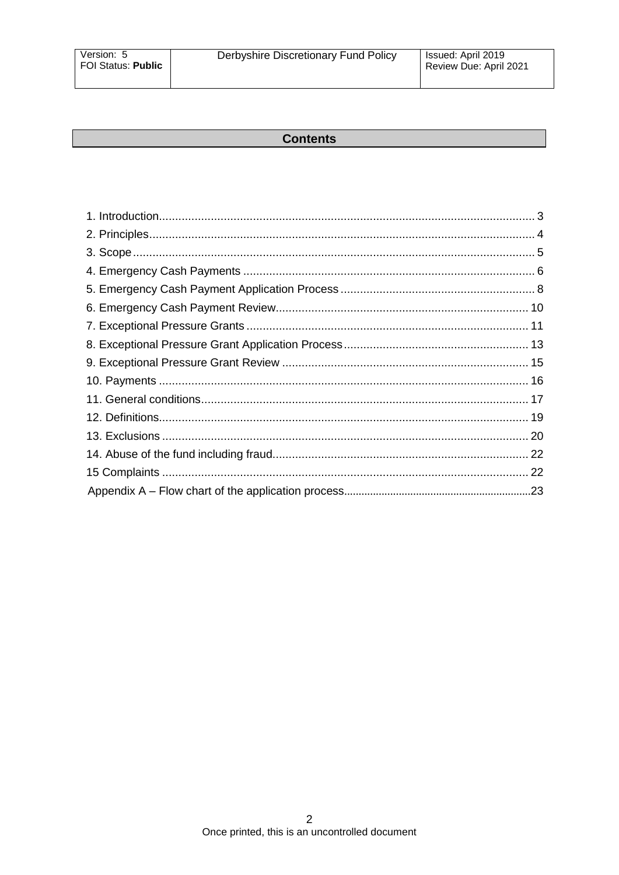#### **Contents**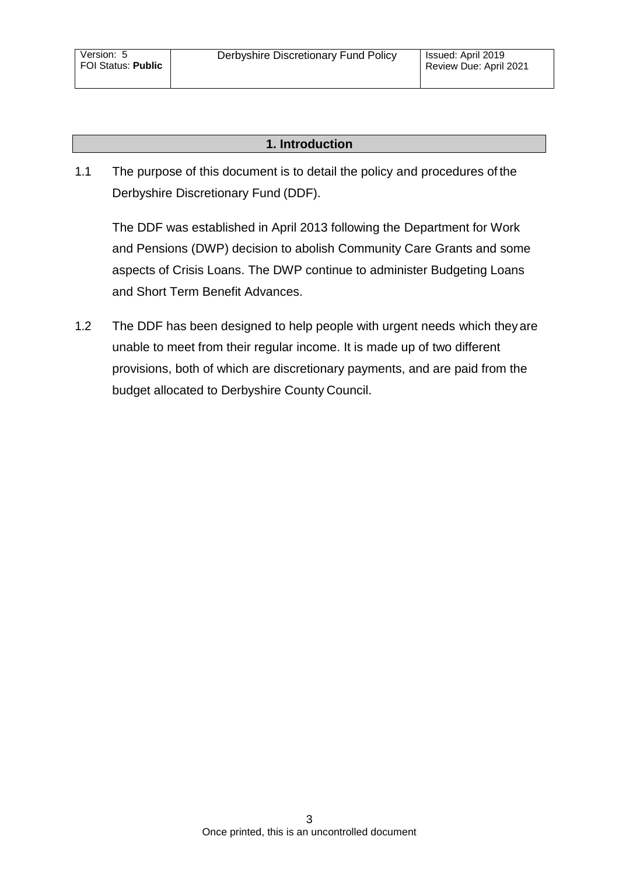### **1. Introduction**

<span id="page-2-0"></span>1.1 The purpose of this document is to detail the policy and procedures of the Derbyshire Discretionary Fund (DDF).

The DDF was established in April 2013 following the Department for Work and Pensions (DWP) decision to abolish Community Care Grants and some aspects of Crisis Loans. The DWP continue to administer Budgeting Loans and Short Term Benefit Advances.

1.2 The DDF has been designed to help people with urgent needs which theyare unable to meet from their regular income. It is made up of two different provisions, both of which are discretionary payments, and are paid from the budget allocated to Derbyshire County Council.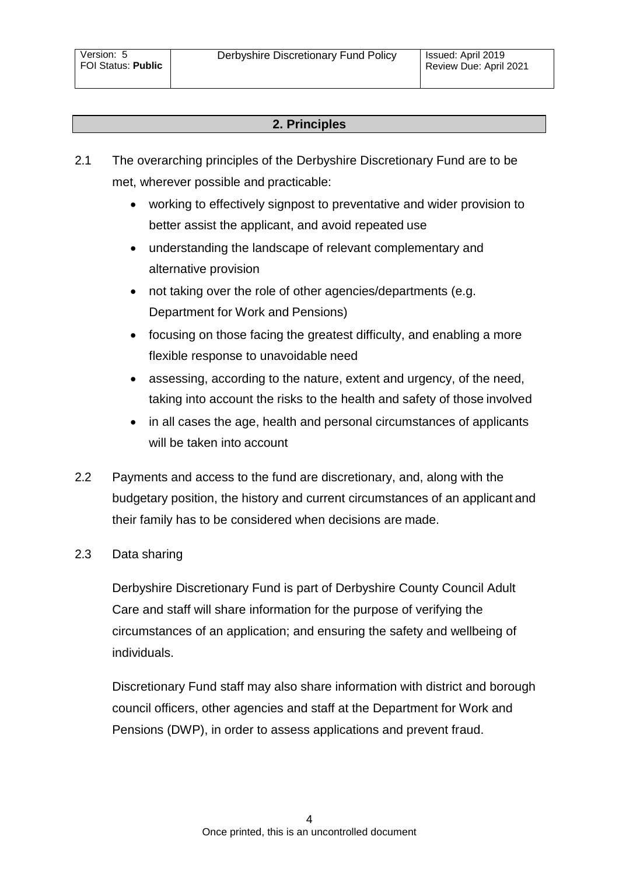# **2. Principles**

- <span id="page-3-0"></span>2.1 The overarching principles of the Derbyshire Discretionary Fund are to be met, wherever possible and practicable:
	- working to effectively signpost to preventative and wider provision to better assist the applicant, and avoid repeated use
	- understanding the landscape of relevant complementary and alternative provision
	- not taking over the role of other agencies/departments (e.g. Department for Work and Pensions)
	- focusing on those facing the greatest difficulty, and enabling a more flexible response to unavoidable need
	- assessing, according to the nature, extent and urgency, of the need, taking into account the risks to the health and safety of those involved
	- in all cases the age, health and personal circumstances of applicants will be taken into account
- 2.2 Payments and access to the fund are discretionary, and, along with the budgetary position, the history and current circumstances of an applicant and their family has to be considered when decisions are made.

# 2.3 Data sharing

Derbyshire Discretionary Fund is part of Derbyshire County Council Adult Care and staff will share information for the purpose of verifying the circumstances of an application; and ensuring the safety and wellbeing of individuals.

Discretionary Fund staff may also share information with district and borough council officers, other agencies and staff at the Department for Work and Pensions (DWP), in order to assess applications and prevent fraud.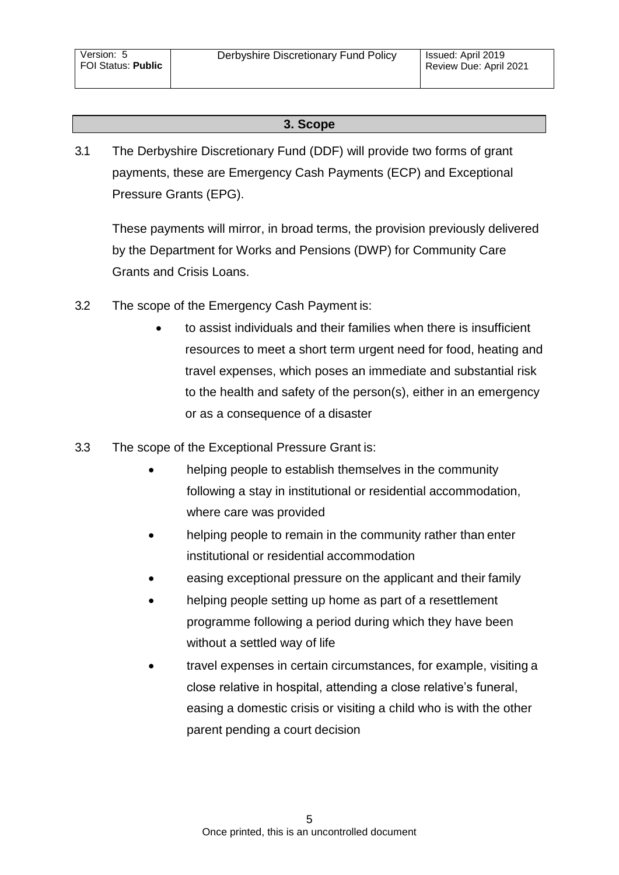## **3. Scope**

<span id="page-4-0"></span>3.1 The Derbyshire Discretionary Fund (DDF) will provide two forms of grant payments, these are Emergency Cash Payments (ECP) and Exceptional Pressure Grants (EPG).

These payments will mirror, in broad terms, the provision previously delivered by the Department for Works and Pensions (DWP) for Community Care Grants and Crisis Loans.

- 3.2 The scope of the Emergency Cash Payment is:
	- to assist individuals and their families when there is insufficient resources to meet a short term urgent need for food, heating and travel expenses, which poses an immediate and substantial risk to the health and safety of the person(s), either in an emergency or as a consequence of a disaster
- 3.3 The scope of the Exceptional Pressure Grant is:
	- helping people to establish themselves in the community following a stay in institutional or residential accommodation, where care was provided
	- helping people to remain in the community rather than enter institutional or residential accommodation
	- easing exceptional pressure on the applicant and their family
	- helping people setting up home as part of a resettlement programme following a period during which they have been without a settled way of life
	- travel expenses in certain circumstances, for example, visiting a close relative in hospital, attending a close relative's funeral, easing a domestic crisis or visiting a child who is with the other parent pending a court decision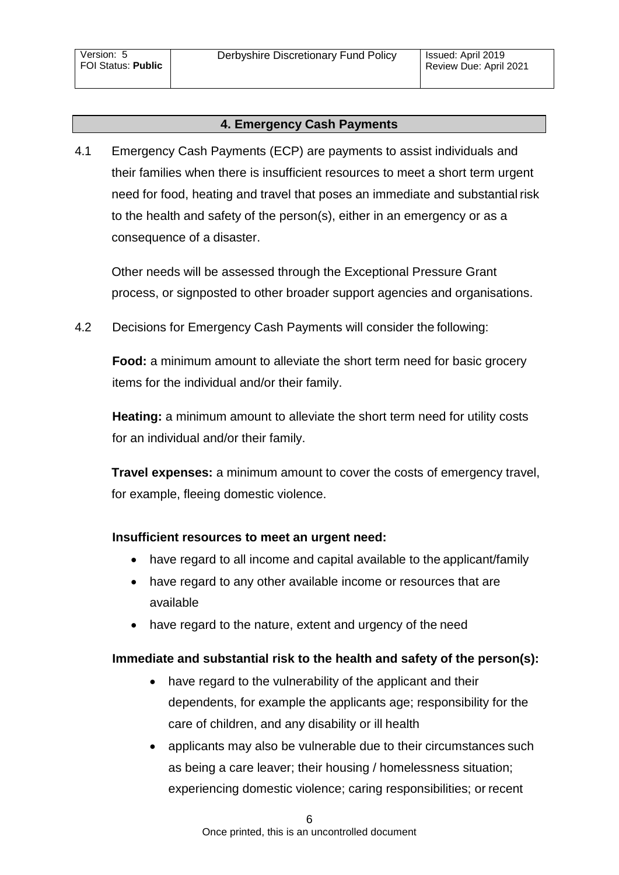## **4. Emergency Cash Payments**

<span id="page-5-0"></span>4.1 Emergency Cash Payments (ECP) are payments to assist individuals and their families when there is insufficient resources to meet a short term urgent need for food, heating and travel that poses an immediate and substantial risk to the health and safety of the person(s), either in an emergency or as a consequence of a disaster.

Other needs will be assessed through the Exceptional Pressure Grant process, or signposted to other broader support agencies and organisations.

4.2 Decisions for Emergency Cash Payments will consider the following:

**Food:** a minimum amount to alleviate the short term need for basic grocery items for the individual and/or their family.

**Heating:** a minimum amount to alleviate the short term need for utility costs for an individual and/or their family.

**Travel expenses:** a minimum amount to cover the costs of emergency travel, for example, fleeing domestic violence.

## **Insufficient resources to meet an urgent need:**

- have regard to all income and capital available to the applicant/family
- have regard to any other available income or resources that are available
- have regard to the nature, extent and urgency of the need

#### **Immediate and substantial risk to the health and safety of the person(s):**

- have regard to the vulnerability of the applicant and their dependents, for example the applicants age; responsibility for the care of children, and any disability or ill health
- applicants may also be vulnerable due to their circumstances such as being a care leaver; their housing / homelessness situation; experiencing domestic violence; caring responsibilities; or recent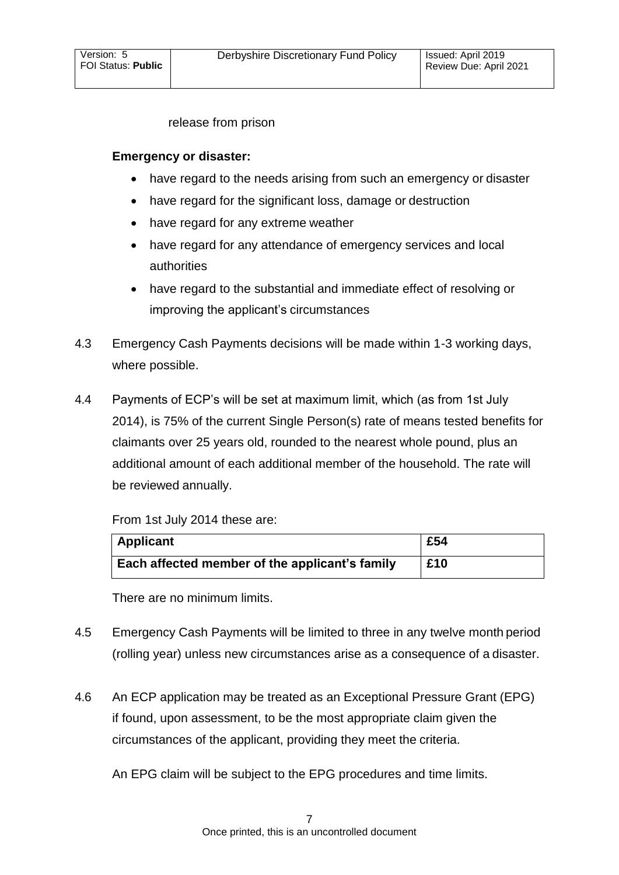release from prison

## **Emergency or disaster:**

- have regard to the needs arising from such an emergency or disaster
- have regard for the significant loss, damage or destruction
- have regard for any extreme weather
- have regard for any attendance of emergency services and local authorities
- have regard to the substantial and immediate effect of resolving or improving the applicant's circumstances
- 4.3 Emergency Cash Payments decisions will be made within 1-3 working days, where possible.
- 4.4 Payments of ECP's will be set at maximum limit, which (as from 1st July 2014), is 75% of the current Single Person(s) rate of means tested benefits for claimants over 25 years old, rounded to the nearest whole pound, plus an additional amount of each additional member of the household. The rate will be reviewed annually.

From 1st July 2014 these are:

| <b>Applicant</b>                               | £54 |
|------------------------------------------------|-----|
| Each affected member of the applicant's family | £10 |

There are no minimum limits.

- 4.5 Emergency Cash Payments will be limited to three in any twelve month period (rolling year) unless new circumstances arise as a consequence of a disaster.
- 4.6 An ECP application may be treated as an Exceptional Pressure Grant (EPG) if found, upon assessment, to be the most appropriate claim given the circumstances of the applicant, providing they meet the criteria.

An EPG claim will be subject to the EPG procedures and time limits.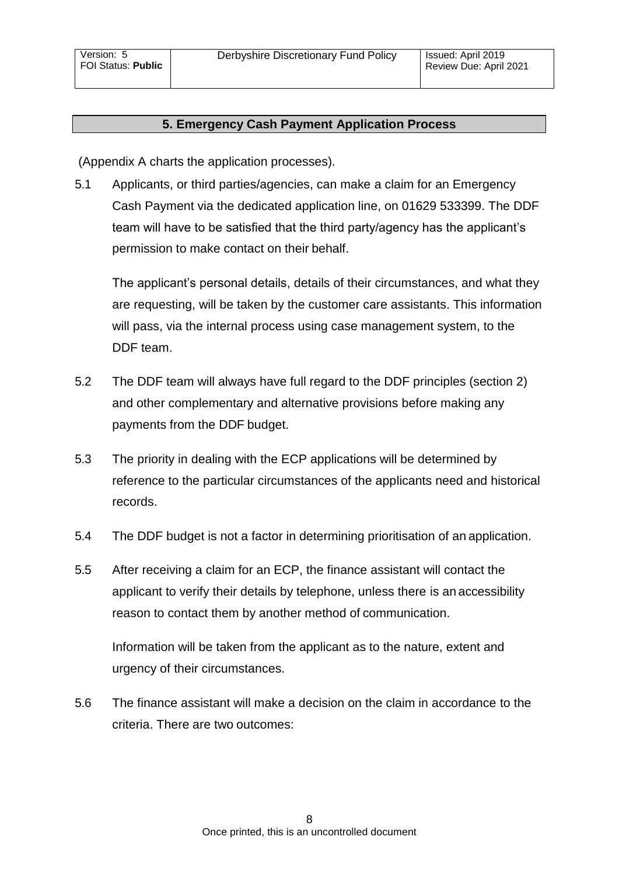### **5. Emergency Cash Payment Application Process**

<span id="page-7-0"></span>(Appendix A charts the application processes).

5.1 Applicants, or third parties/agencies, can make a claim for an Emergency Cash Payment via the dedicated application line, on 01629 533399. The DDF team will have to be satisfied that the third party/agency has the applicant's permission to make contact on their behalf.

The applicant's personal details, details of their circumstances, and what they are requesting, will be taken by the customer care assistants. This information will pass, via the internal process using case management system, to the DDF team.

- 5.2 The DDF team will always have full regard to the DDF principles (section 2) and other complementary and alternative provisions before making any payments from the DDF budget.
- 5.3 The priority in dealing with the ECP applications will be determined by reference to the particular circumstances of the applicants need and historical records.
- 5.4 The DDF budget is not a factor in determining prioritisation of an application.
- 5.5 After receiving a claim for an ECP, the finance assistant will contact the applicant to verify their details by telephone, unless there is an accessibility reason to contact them by another method of communication.

Information will be taken from the applicant as to the nature, extent and urgency of their circumstances.

5.6 The finance assistant will make a decision on the claim in accordance to the criteria. There are two outcomes: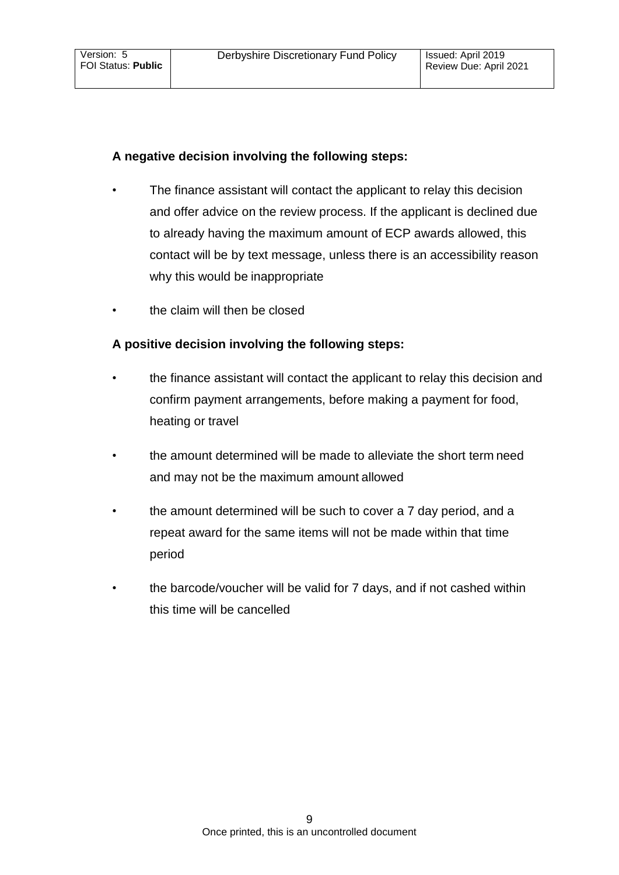## **A negative decision involving the following steps:**

- The finance assistant will contact the applicant to relay this decision and offer advice on the review process. If the applicant is declined due to already having the maximum amount of ECP awards allowed, this contact will be by text message, unless there is an accessibility reason why this would be inappropriate
- the claim will then be closed

# **A positive decision involving the following steps:**

- the finance assistant will contact the applicant to relay this decision and confirm payment arrangements, before making a payment for food, heating or travel
- the amount determined will be made to alleviate the short term need and may not be the maximum amount allowed
- the amount determined will be such to cover a 7 day period, and a repeat award for the same items will not be made within that time period
- the barcode/voucher will be valid for 7 days, and if not cashed within this time will be cancelled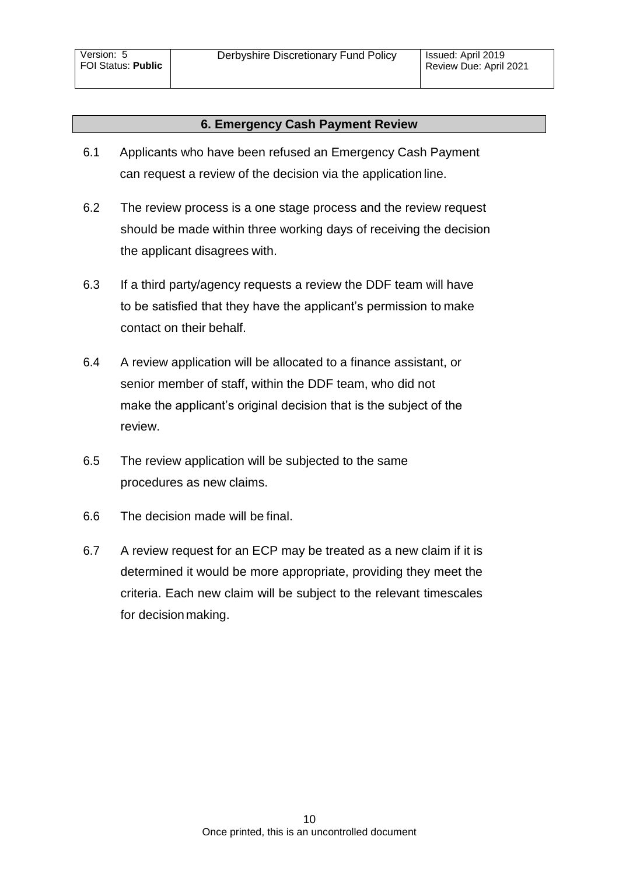### **6. Emergency Cash Payment Review**

- <span id="page-9-0"></span>6.1 Applicants who have been refused an Emergency Cash Payment can request a review of the decision via the application line.
- 6.2 The review process is a one stage process and the review request should be made within three working days of receiving the decision the applicant disagrees with.
- 6.3 If a third party/agency requests a review the DDF team will have to be satisfied that they have the applicant's permission to make contact on their behalf.
- 6.4 A review application will be allocated to a finance assistant, or senior member of staff, within the DDF team, who did not make the applicant's original decision that is the subject of the review.
- 6.5 The review application will be subjected to the same procedures as new claims.
- 6.6 The decision made will be final.
- 6.7 A review request for an ECP may be treated as a new claim if it is determined it would be more appropriate, providing they meet the criteria. Each new claim will be subject to the relevant timescales for decision making.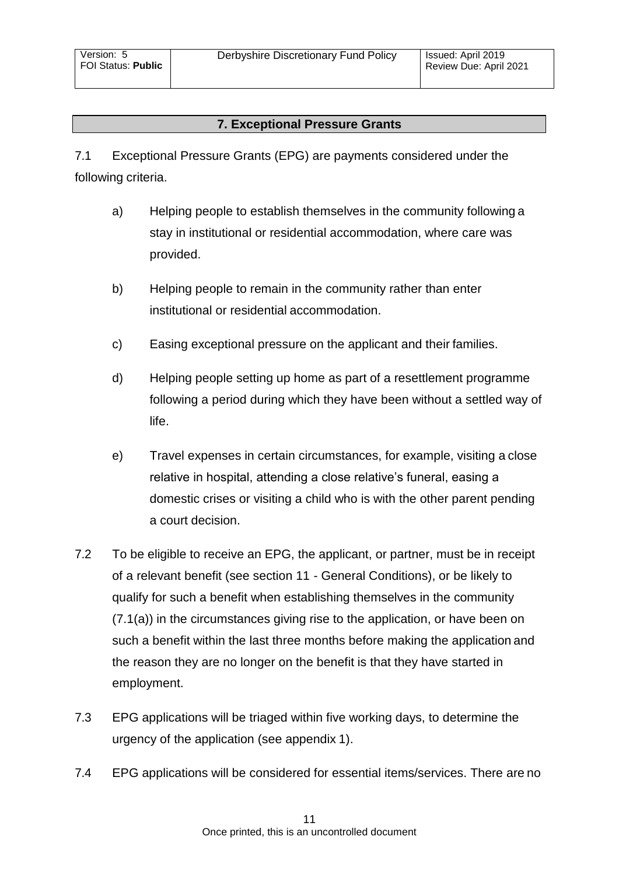# **7. Exceptional Pressure Grants**

<span id="page-10-0"></span>7.1 Exceptional Pressure Grants (EPG) are payments considered under the following criteria.

- a) Helping people to establish themselves in the community following a stay in institutional or residential accommodation, where care was provided.
- b) Helping people to remain in the community rather than enter institutional or residential accommodation.
- c) Easing exceptional pressure on the applicant and their families.
- d) Helping people setting up home as part of a resettlement programme following a period during which they have been without a settled way of life.
- e) Travel expenses in certain circumstances, for example, visiting a close relative in hospital, attending a close relative's funeral, easing a domestic crises or visiting a child who is with the other parent pending a court decision.
- 7.2 To be eligible to receive an EPG, the applicant, or partner, must be in receipt of a relevant benefit (see section 11 - General Conditions), or be likely to qualify for such a benefit when establishing themselves in the community (7.1(a)) in the circumstances giving rise to the application, or have been on such a benefit within the last three months before making the application and the reason they are no longer on the benefit is that they have started in employment.
- 7.3 EPG applications will be triaged within five working days, to determine the urgency of the application (see appendix 1).
- 7.4 EPG applications will be considered for essential items/services. There are no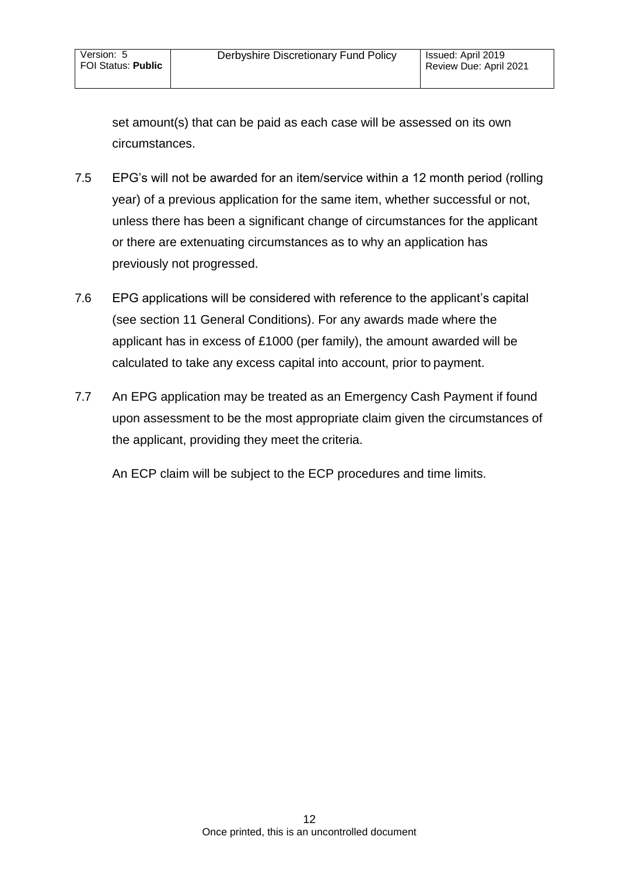set amount(s) that can be paid as each case will be assessed on its own circumstances.

- 7.5 EPG's will not be awarded for an item/service within a 12 month period (rolling year) of a previous application for the same item, whether successful or not, unless there has been a significant change of circumstances for the applicant or there are extenuating circumstances as to why an application has previously not progressed.
- 7.6 EPG applications will be considered with reference to the applicant's capital (see section 11 General Conditions). For any awards made where the applicant has in excess of £1000 (per family), the amount awarded will be calculated to take any excess capital into account, prior to payment.
- 7.7 An EPG application may be treated as an Emergency Cash Payment if found upon assessment to be the most appropriate claim given the circumstances of the applicant, providing they meet the criteria.

An ECP claim will be subject to the ECP procedures and time limits.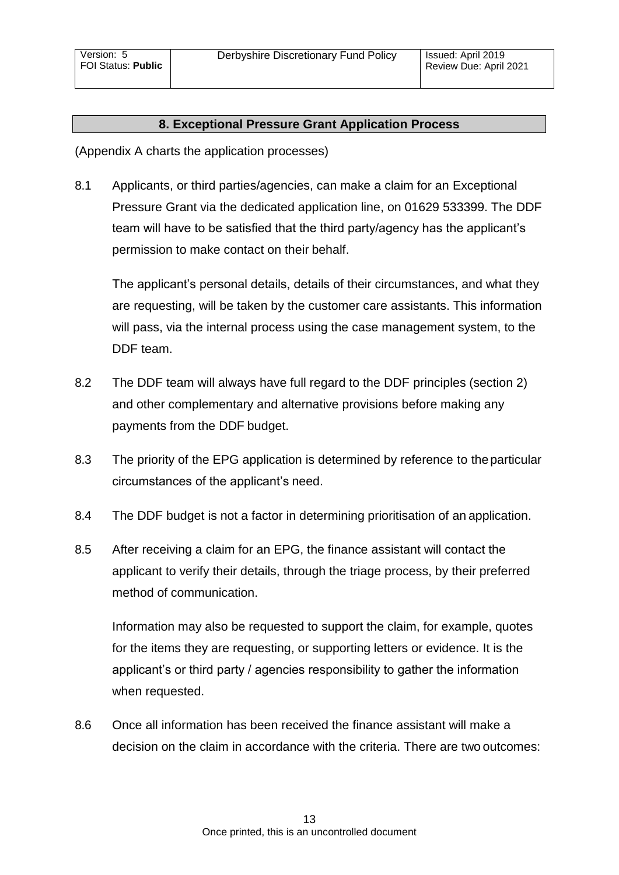### **8. Exceptional Pressure Grant Application Process**

<span id="page-12-0"></span>(Appendix A charts the application processes)

8.1 Applicants, or third parties/agencies, can make a claim for an Exceptional Pressure Grant via the dedicated application line, on 01629 533399. The DDF team will have to be satisfied that the third party/agency has the applicant's permission to make contact on their behalf.

The applicant's personal details, details of their circumstances, and what they are requesting, will be taken by the customer care assistants. This information will pass, via the internal process using the case management system, to the DDF team.

- 8.2 The DDF team will always have full regard to the DDF principles (section 2) and other complementary and alternative provisions before making any payments from the DDF budget.
- 8.3 The priority of the EPG application is determined by reference to theparticular circumstances of the applicant's need.
- 8.4 The DDF budget is not a factor in determining prioritisation of an application.
- 8.5 After receiving a claim for an EPG, the finance assistant will contact the applicant to verify their details, through the triage process, by their preferred method of communication.

Information may also be requested to support the claim, for example, quotes for the items they are requesting, or supporting letters or evidence. It is the applicant's or third party / agencies responsibility to gather the information when requested.

8.6 Once all information has been received the finance assistant will make a decision on the claim in accordance with the criteria. There are two outcomes: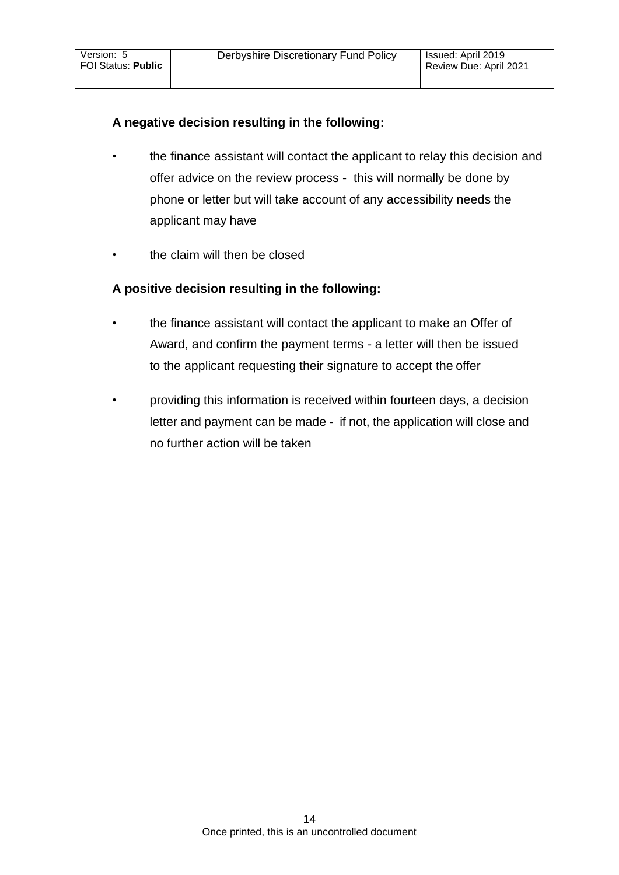# **A negative decision resulting in the following:**

- the finance assistant will contact the applicant to relay this decision and offer advice on the review process - this will normally be done by phone or letter but will take account of any accessibility needs the applicant may have
- the claim will then be closed

# **A positive decision resulting in the following:**

- the finance assistant will contact the applicant to make an Offer of Award, and confirm the payment terms - a letter will then be issued to the applicant requesting their signature to accept the offer
- providing this information is received within fourteen days, a decision letter and payment can be made - if not, the application will close and no further action will be taken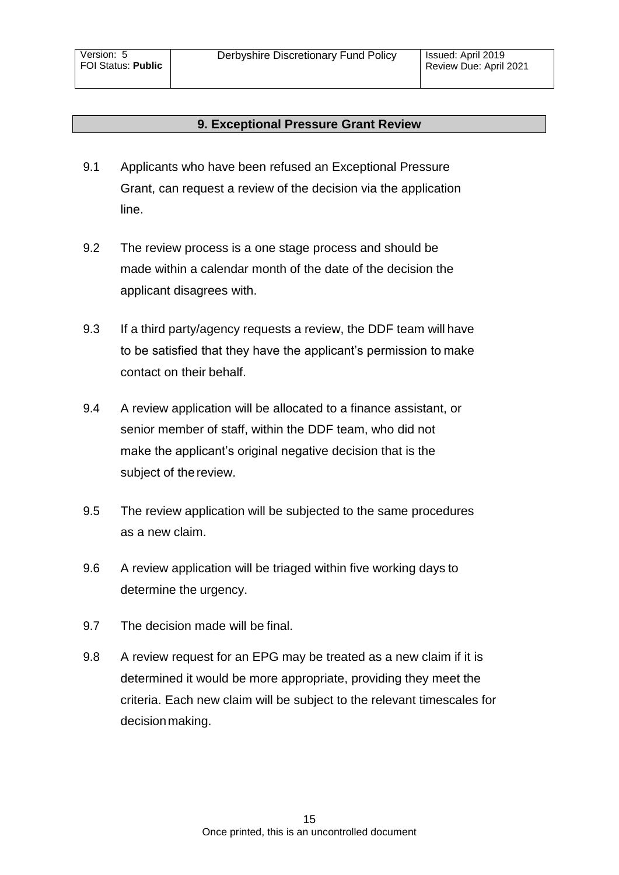## **9. Exceptional Pressure Grant Review**

- <span id="page-14-0"></span>9.1 Applicants who have been refused an Exceptional Pressure Grant, can request a review of the decision via the application line.
- 9.2 The review process is a one stage process and should be made within a calendar month of the date of the decision the applicant disagrees with.
- 9.3 If a third party/agency requests a review, the DDF team will have to be satisfied that they have the applicant's permission to make contact on their behalf.
- 9.4 A review application will be allocated to a finance assistant, or senior member of staff, within the DDF team, who did not make the applicant's original negative decision that is the subject of the review.
- 9.5 The review application will be subjected to the same procedures as a new claim.
- 9.6 A review application will be triaged within five working days to determine the urgency.
- 9.7 The decision made will be final.
- 9.8 A review request for an EPG may be treated as a new claim if it is determined it would be more appropriate, providing they meet the criteria. Each new claim will be subject to the relevant timescales for decision making.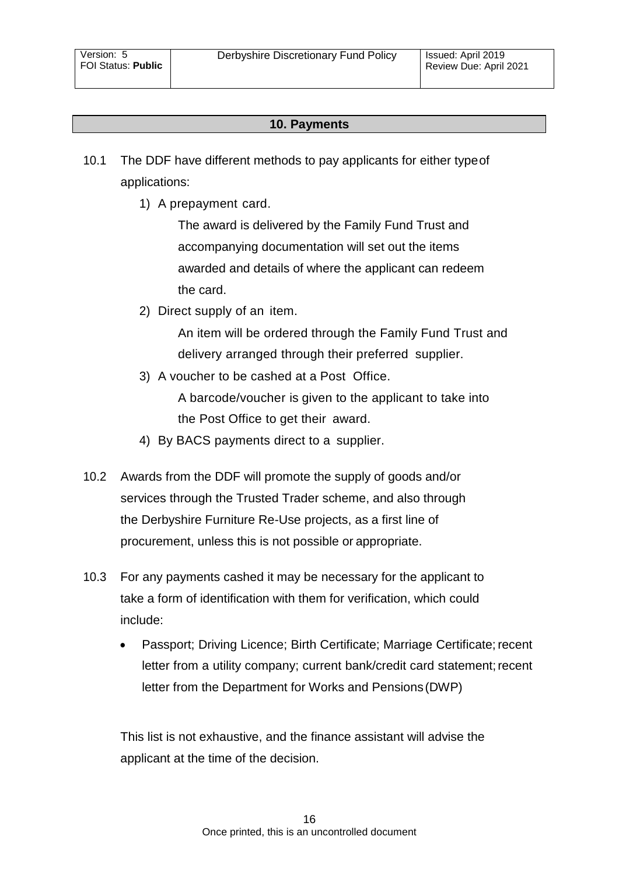## **10. Payments**

- <span id="page-15-0"></span>10.1 The DDF have different methods to pay applicants for either typeof applications:
	- 1) A prepayment card.

The award is delivered by the Family Fund Trust and accompanying documentation will set out the items awarded and details of where the applicant can redeem the card.

2) Direct supply of an item.

An item will be ordered through the Family Fund Trust and delivery arranged through their preferred supplier.

3) A voucher to be cashed at a Post Office.

A barcode/voucher is given to the applicant to take into the Post Office to get their award.

- 4) By BACS payments direct to a supplier.
- 10.2 Awards from the DDF will promote the supply of goods and/or services through the Trusted Trader scheme, and also through the Derbyshire Furniture Re-Use projects, as a first line of procurement, unless this is not possible or appropriate.
- 10.3 For any payments cashed it may be necessary for the applicant to take a form of identification with them for verification, which could include:
	- Passport; Driving Licence; Birth Certificate; Marriage Certificate; recent letter from a utility company; current bank/credit card statement; recent letter from the Department for Works and Pensions(DWP)

This list is not exhaustive, and the finance assistant will advise the applicant at the time of the decision.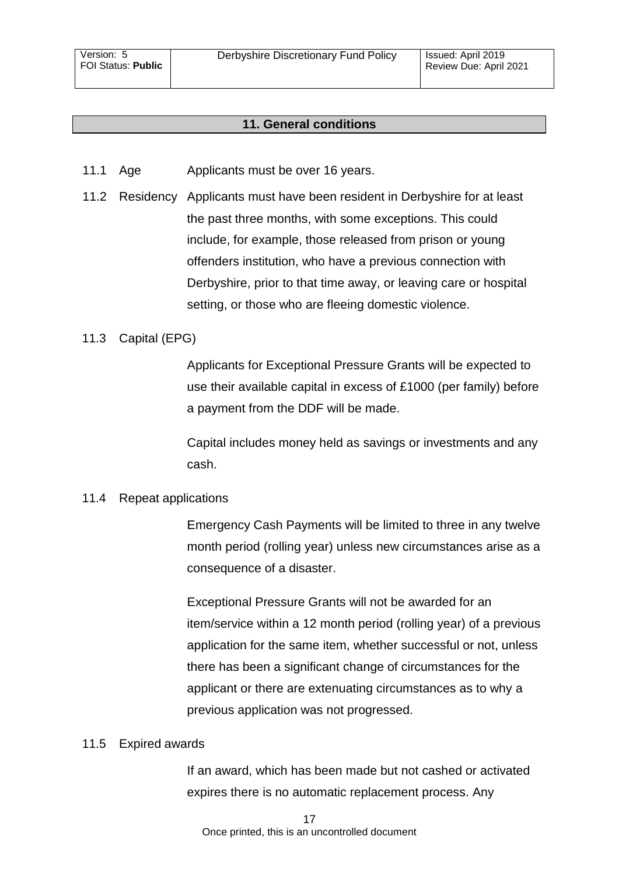### <span id="page-16-0"></span>**11. General conditions**

- 11.1 Age Applicants must be over 16 years.
- 11.2 Residency Applicants must have been resident in Derbyshire for at least the past three months, with some exceptions. This could include, for example, those released from prison or young offenders institution, who have a previous connection with Derbyshire, prior to that time away, or leaving care or hospital setting, or those who are fleeing domestic violence.

#### 11.3 Capital (EPG)

Applicants for Exceptional Pressure Grants will be expected to use their available capital in excess of £1000 (per family) before a payment from the DDF will be made.

Capital includes money held as savings or investments and any cash.

#### 11.4 Repeat applications

Emergency Cash Payments will be limited to three in any twelve month period (rolling year) unless new circumstances arise as a consequence of a disaster.

Exceptional Pressure Grants will not be awarded for an item/service within a 12 month period (rolling year) of a previous application for the same item, whether successful or not, unless there has been a significant change of circumstances for the applicant or there are extenuating circumstances as to why a previous application was not progressed.

#### 11.5 Expired awards

If an award, which has been made but not cashed or activated expires there is no automatic replacement process. Any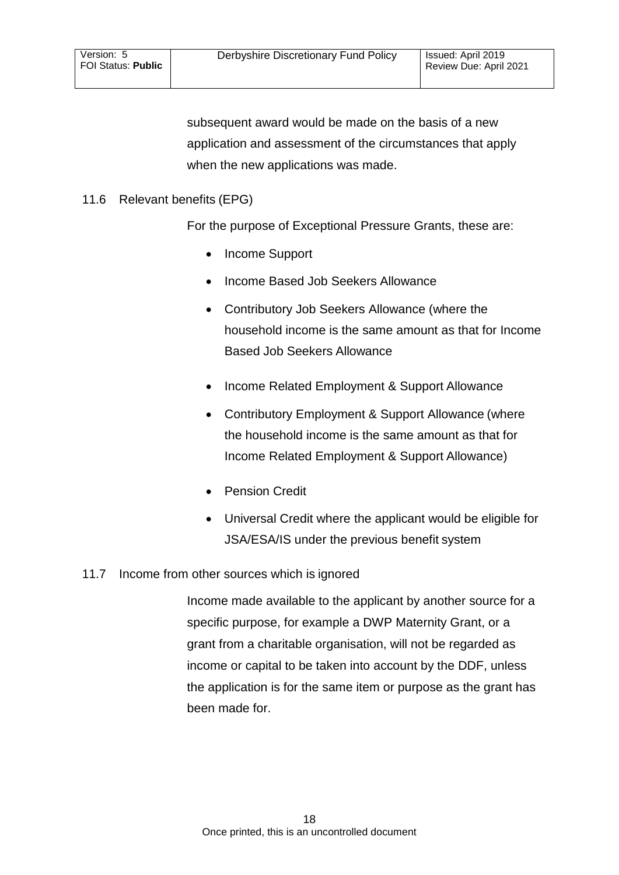subsequent award would be made on the basis of a new application and assessment of the circumstances that apply when the new applications was made.

## 11.6 Relevant benefits (EPG)

For the purpose of Exceptional Pressure Grants, these are:

- Income Support
- Income Based Job Seekers Allowance
- Contributory Job Seekers Allowance (where the household income is the same amount as that for Income Based Job Seekers Allowance
- Income Related Employment & Support Allowance
- Contributory Employment & Support Allowance (where the household income is the same amount as that for Income Related Employment & Support Allowance)
- Pension Credit
- Universal Credit where the applicant would be eligible for JSA/ESA/IS under the previous benefit system

## 11.7 Income from other sources which is ignored

Income made available to the applicant by another source for a specific purpose, for example a DWP Maternity Grant, or a grant from a charitable organisation, will not be regarded as income or capital to be taken into account by the DDF, unless the application is for the same item or purpose as the grant has been made for.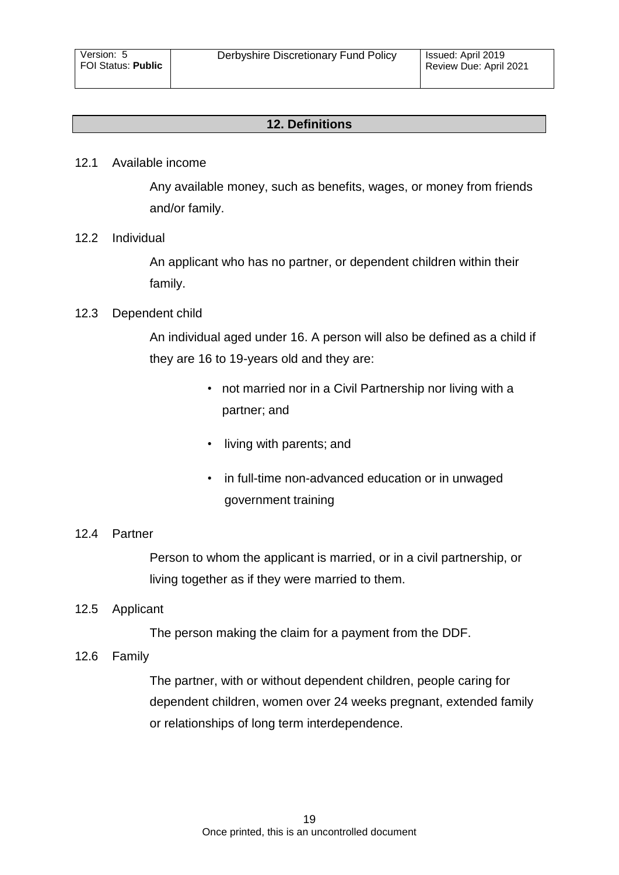## **12. Definitions**

#### <span id="page-18-0"></span>12.1 Available income

Any available money, such as benefits, wages, or money from friends and/or family.

## 12.2 Individual

An applicant who has no partner, or dependent children within their family.

#### 12.3 Dependent child

An individual aged under 16. A person will also be defined as a child if they are 16 to 19-years old and they are:

- not married nor in a Civil Partnership nor living with a partner; and
- living with parents; and
- in full-time non-advanced education or in unwaged government training

#### 12.4 Partner

Person to whom the applicant is married, or in a civil partnership, or living together as if they were married to them.

## 12.5 Applicant

The person making the claim for a payment from the DDF.

#### 12.6 Family

The partner, with or without dependent children, people caring for dependent children, women over 24 weeks pregnant, extended family or relationships of long term interdependence.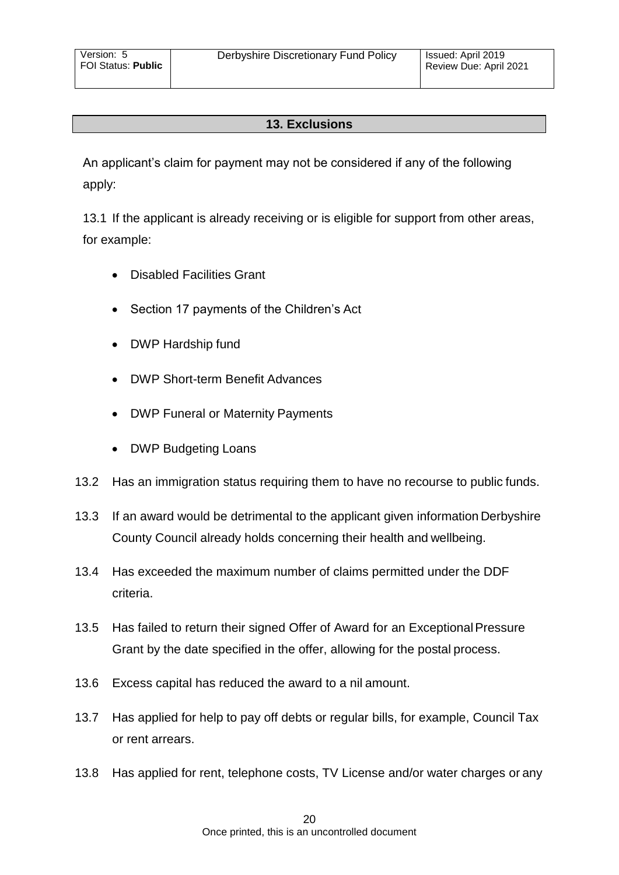## **13. Exclusions**

<span id="page-19-0"></span>An applicant's claim for payment may not be considered if any of the following apply:

13.1 If the applicant is already receiving or is eligible for support from other areas, for example:

- Disabled Facilities Grant
- Section 17 payments of the Children's Act
- DWP Hardship fund
- DWP Short-term Benefit Advances
- DWP Funeral or Maternity Payments
- DWP Budgeting Loans
- 13.2 Has an immigration status requiring them to have no recourse to public funds.
- 13.3 If an award would be detrimental to the applicant given information Derbyshire County Council already holds concerning their health and wellbeing.
- 13.4 Has exceeded the maximum number of claims permitted under the DDF criteria.
- 13.5 Has failed to return their signed Offer of Award for an Exceptional Pressure Grant by the date specified in the offer, allowing for the postal process.
- 13.6 Excess capital has reduced the award to a nil amount.
- 13.7 Has applied for help to pay off debts or regular bills, for example, Council Tax or rent arrears.
- 13.8 Has applied for rent, telephone costs, TV License and/or water charges or any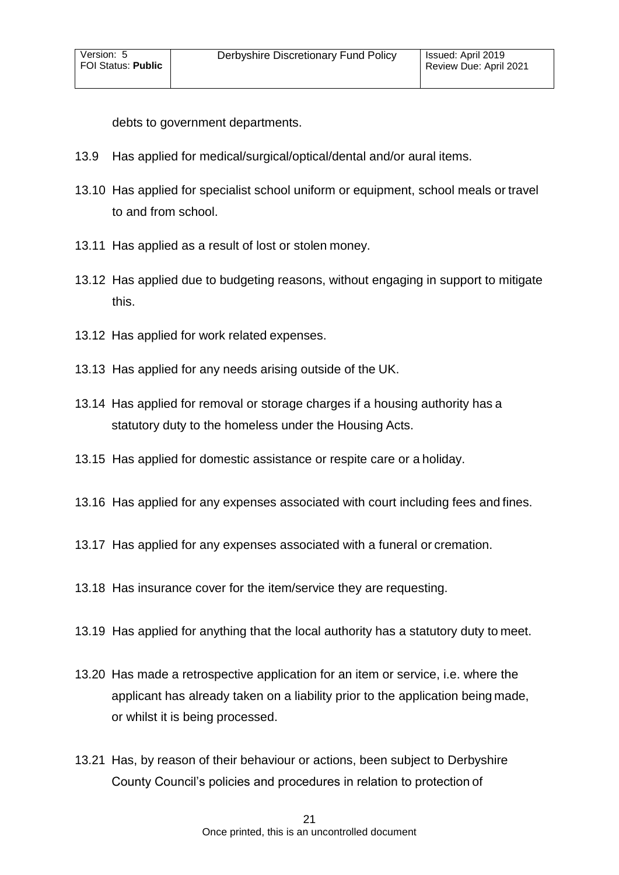debts to government departments.

- 13.9 Has applied for medical/surgical/optical/dental and/or aural items.
- 13.10 Has applied for specialist school uniform or equipment, school meals or travel to and from school.
- 13.11 Has applied as a result of lost or stolen money.
- 13.12 Has applied due to budgeting reasons, without engaging in support to mitigate this.
- 13.12 Has applied for work related expenses.
- 13.13 Has applied for any needs arising outside of the UK.
- 13.14 Has applied for removal or storage charges if a housing authority has a statutory duty to the homeless under the Housing Acts.
- 13.15 Has applied for domestic assistance or respite care or a holiday.
- 13.16 Has applied for any expenses associated with court including fees and fines.
- 13.17 Has applied for any expenses associated with a funeral or cremation.
- 13.18 Has insurance cover for the item/service they are requesting.
- 13.19 Has applied for anything that the local authority has a statutory duty to meet.
- 13.20 Has made a retrospective application for an item or service, i.e. where the applicant has already taken on a liability prior to the application being made, or whilst it is being processed.
- 13.21 Has, by reason of their behaviour or actions, been subject to Derbyshire County Council's policies and procedures in relation to protection of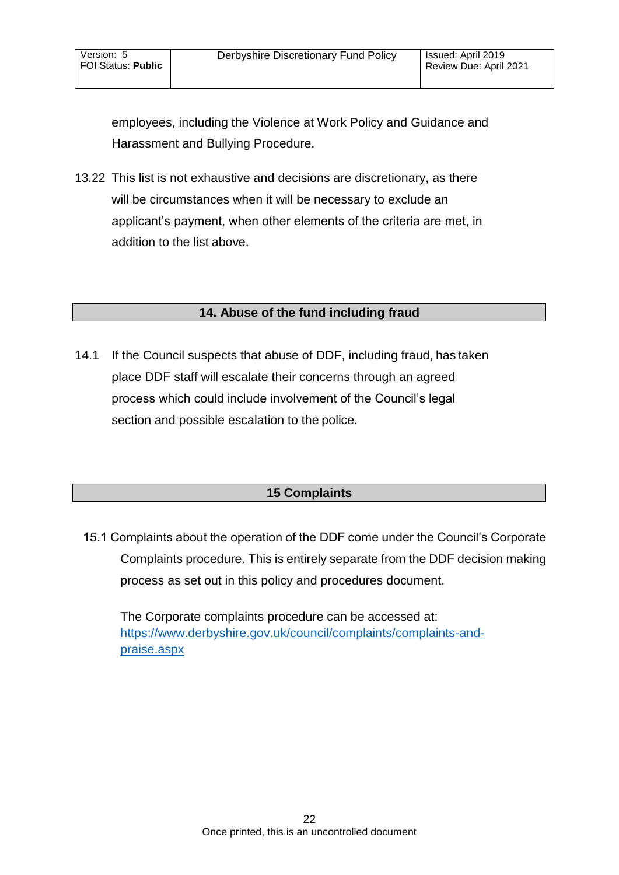employees, including the Violence at Work Policy and Guidance and Harassment and Bullying Procedure.

13.22 This list is not exhaustive and decisions are discretionary, as there will be circumstances when it will be necessary to exclude an applicant's payment, when other elements of the criteria are met, in addition to the list above.

# **14. Abuse of the fund including fraud**

<span id="page-21-0"></span>14.1 If the Council suspects that abuse of DDF, including fraud, has taken place DDF staff will escalate their concerns through an agreed process which could include involvement of the Council's legal section and possible escalation to the police.

# **15 Complaints**

<span id="page-21-1"></span>15.1 Complaints about the operation of the DDF come under the Council's Corporate Complaints procedure. This is entirely separate from the DDF decision making process as set out in this policy and procedures document.

The Corporate complaints procedure can be accessed at: [https://www.derbyshire.gov.uk/council/complaints/complaints-and](https://www.derbyshire.gov.uk/council/complaints/complaints-and-praise.aspx)[praise.aspx](https://www.derbyshire.gov.uk/council/complaints/complaints-and-praise.aspx)